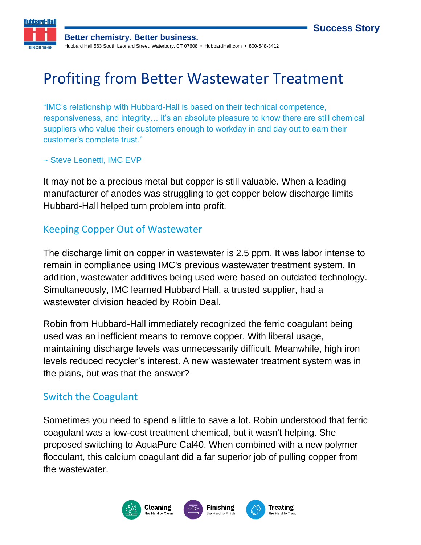



**Better chemistry. Better business.** Hubbard Hall 563 South Leonard Street, Waterbury, CT 07608 • HubbardHall.com • 800-648-3412

# Profiting from Better Wastewater Treatment

"IMC's relationship with Hubbard-Hall is based on their technical competence, responsiveness, and integrity… it's an absolute pleasure to know there are still chemical suppliers who value their customers enough to workday in and day out to earn their customer's complete trust."

#### ~ Steve Leonetti, IMC EVP

It may not be a precious metal but copper is still valuable. When a leading manufacturer of anodes was struggling to get copper below discharge limits Hubbard-Hall helped turn problem into profit.

#### Keeping Copper Out of Wastewater

The discharge limit on copper in wastewater is 2.5 ppm. It was labor intense to remain in compliance using IMC's previous wastewater treatment system. In addition, wastewater additives being used were based on outdated technology. Simultaneously, IMC learned Hubbard Hall, a trusted supplier, had a wastewater division headed by Robin Deal.

Robin from Hubbard-Hall immediately recognized the ferric coagulant being used was an inefficient means to remove copper. With liberal usage, maintaining discharge levels was unnecessarily difficult. Meanwhile, high iron levels reduced recycler's interest. A new wastewater treatment system was in the plans, but was that the answer?

#### Switch the Coagulant

Sometimes you need to spend a little to save a lot. Robin understood that ferric coagulant was a low-cost treatment chemical, but it wasn't helping. She proposed switching to AquaPure Cal40. When combined with a new polymer flocculant, this calcium coagulant did a far superior job of pulling copper from the wastewater.